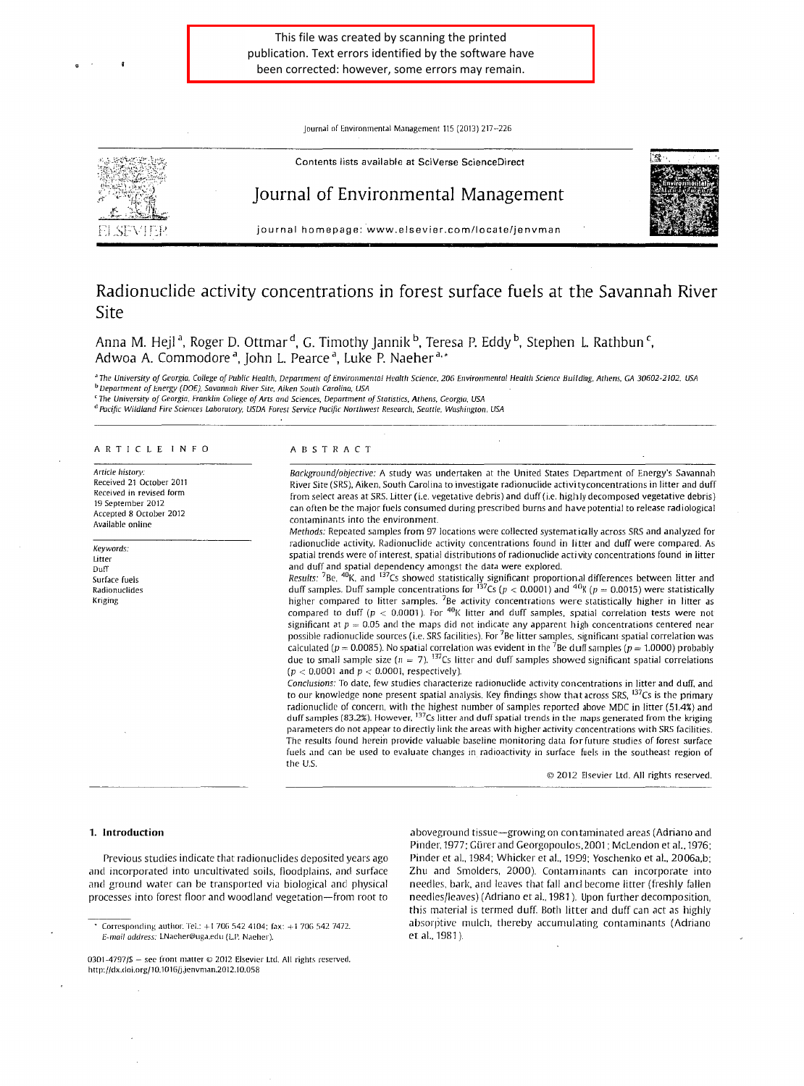Journal of Environmental Management 115 (2013) 217-226



# Radionuclide activity concentrations in forest surface fuels at the Savannah River Site

Anna M. Hejl <sup>a</sup>, Roger D. Ottmar <sup>a</sup>, G. Timothy Jannik <sup>p</sup>, Teresa P. Eddy <sup>p</sup>, Stephen L. Rathbun <sup>c</sup>, Adwoa A. Commodore <sup>a</sup>, John L. Pearce <sup>a</sup>, Luke P. Naeher <sup>a,</sup>\*

<sup>a</sup> The University of Georgia, College of Public Health, Department of Environmental Health Science/206 Environmental Health Science Building, Athens, GA 30602-2102. USA *"Department of Energy (DOE), Savannah River Site, Aiken South Carolina, USA* 

*'The University of Georgia. Franklin College of Arts and Sciences. Deportment of Statistics, Athens. Georg; a, USA* 

<sup>d</sup> Pacific Wildland Fire Sciences Laboratory, USDA Forest Service Pacific Northwest Research, Seattle, Washington, USA

# ARTICLE INFO

*Article history:*  Received 21 October 2011 Received in revised form 19 September 2012 Accepted 8 October 2012 Available online

Keywords: Litter Duff Surface fuels Radionuclides Kriging

# ABSTRACT

*Background/objective:* A study was undertaken at the United States Department of Energy's Savannah River Site (SRS), Aiken, South Carolina to investigate radionuclide activi tyconcentrations in litter and duff from select areas at SRS. Litter (i.e. vegetative debris) and duff(i.e. highly decomposed vegetative debris) can often be the major fuels consumed during prescribed burns and *have* potential to release radiological contaminants into the environment.

*Methods:* Repeated samples from 97 locations were collected systematically across SRS and analyzed for radionuclide activity. Radionuclide activity concentrations found in litter and duff were compared. As spatial trends were of interest, spatial distributions of radionuclide activity concentrations found in litter and duff and spatial dependency amongst the data were explored.

*Results:* 7Be. 40K. and 137Cs showed statistically significant proportional differences between litter and *Results: 'B*e, <sup>40</sup>K, and <sup>137</sup>Cs showed statistically significant proportional differences between litter and<br>duff samples. Duff sample concentrations for <sup>137</sup>Cs (p < 0.0001) and <sup>40</sup>K (p = 0.0015) were statistically higher compared to litter samples. <sup>7</sup>Be activity concentrations were statistically higher in litter as compared to duff ( $p < 0.0001$ ). For <sup>40</sup>K litter and duff samples, spatial correlation tests were not significant at  $p = 0.05$  and the maps did not indicate any apparent high concentrations centered near possible radionuclide sources (i.e. SRS facilities). For <sup>7</sup>Be litter samples, significant spatial correlation was calculated ( $p = 0.0085$ ). No spatial correlation was evident in the <sup>7</sup>Be duff samples ( $p = 1.0000$ ) probably due to small sample size ( $n = 7$ ). <sup>137</sup>Cs litter and duff samples showed significant spatial correlations  $(p < 0.0001$  and  $p < 0.0001$ , respectively).

*Conclusions:* To date, few studies characterize radionuclide activity concentrations in litter and duff. and to our knowledge none present spatial analysis. Key findings show that across SRS, <sup>137</sup>Cs is the primary radionuclide of concern, with the highest number of samples reported above MDC in litter (51.4%) and duff samples (83.2%). However, <sup>137</sup>Cs litter and duff spatial trends in the maps generated from the kriging parameters do not appear to directly link the areas with higher activity concentrations with SRS facilities. The results found herein provide valuable baseline monitoring data for future studies of forest surface fuels and can be used to evaluate changes in radioactivity in surface fuels in the southeast region of the U.S.

© 2012 Elsevier Ltd. All rights reserved.

#### 1. Introduction

Previous studies indicate that radionuclides deposited years ago and incorporated into uncultivated soils, floodplains, and surface and ground water can be transported *via* biological and physical processes into forest floor and woodland vegetation-from root to

Corresponding author. Tel.: +I 706 542 4104: fax: + 1 706 542 7472. *E-mail address:* LNaeher@uga.edu (LI'. Naeher).

0301-4797/\$ - see front matter © 2012 Elsevier Ltd. All rights reserved. http://dx.doi.org/10.1016/jjenvman.2012.10.058

aboveground tissue-growing on contaminated areas (Adriano and Pinder, 1977; Gürer and Georgopoulos, 2001; McLendon et al., 1976; Pinder et al., 1984; Whicker et al., 1999; Yoschenko et al., 2006a,b; Zhu and Smolders, 2000). Contaminants can incorporate into needles, bark, and leaves that fall and become litter (freshly fallen needles/leaves) (Adriano et al., 1981). Upon further decomposition, this material is termed duff. Both litter and duff can act as highly absorptive mulch, thereby accumulating contaminants (Adriano et al., 1981 ).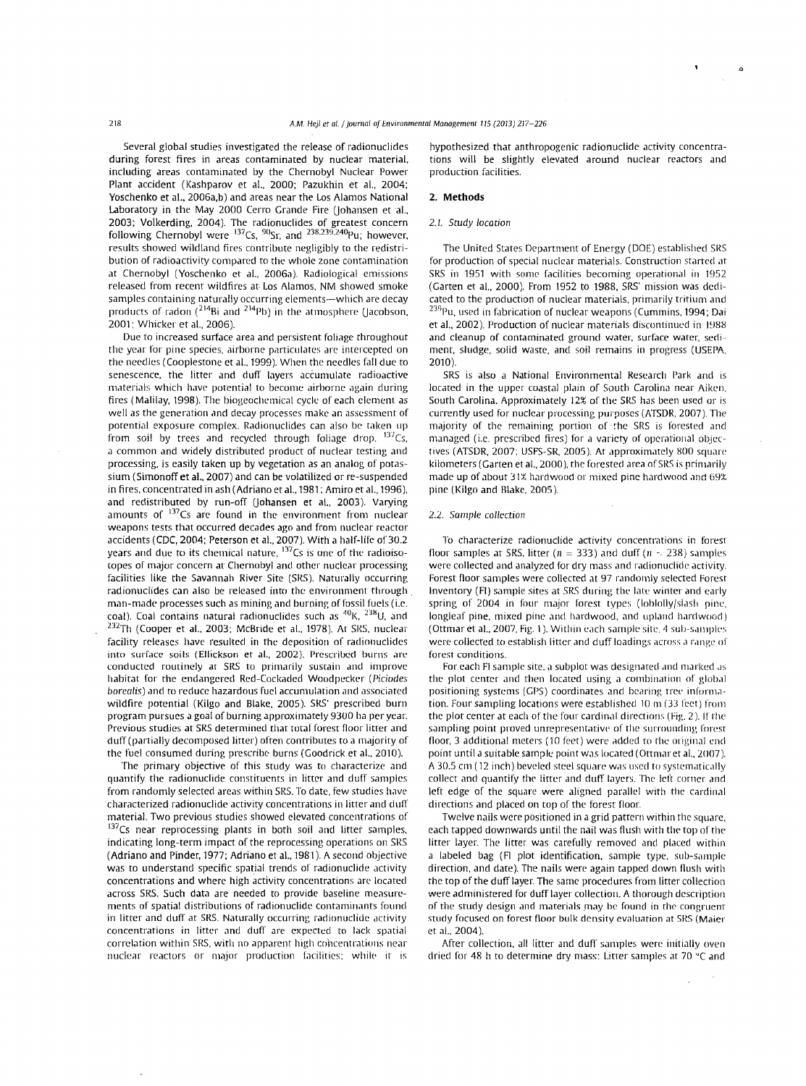Several global studies investigated the release of radionuclides during forest fires in areas contaminated by nuclear material, including areas contaminated by the Chernobyl Nuclear Power Plant accident (Kashparov et al., 2000; Pazukhin et al., 2004; Yoschenko et al., 2006a,b) and areas near the Los Alamos National Laboratory in the May 2000 Cerro Grande Fire (Johansen et al., 2003; Volkerding, 2004). The radionuclides of greatest concern following Chernobyl were <sup>137</sup>Cs, <sup>90</sup>Sr, and <sup>238,239,240</sup>Pu; however, results showed wildland fires contribute negligibly to the redistribution of radioactivity compared ro the whole zone contamination at Chernobyl (Yoschenko et al., 2006a). Radiological emissions released from recent wildfires at Los Alamos, NM showed smoke samples containing naturally occurring elements--which are decay products of radon (<sup>214</sup>Bi and <sup>214</sup>Pb) in the atmosphere (Jacobson, 2001: Whicker et al., 2006).

Due to increased surface area and persistent foliage throughout the year for pine species, airborne particulates are inrercepted on the needles (Cooplestone et al., 1999). When the needles fall due to senescence, the litter and duff layers accumulate radioactive materials which have potential to become airborne again during fires ( Malilay, 1998). The biogeochemical cycle of each element as well as the generation and decay processes make an assessment of potential exposure complex. Radionuclides can also be taken up from soil by trees and recycled through foliage drop. <sup>137</sup>Cs, a common and widely distributed product of nuclear testing and processing, is easily taken up by vegetation as an analog of potassium (Simonoff et al., 2007) and can be volatilized or re-suspended in fires, concentrated in ash (Adriano et al., 1981: Amiro et al., 1996), and redistributed by run-off (Johansen et al., 2003). Varying amounts of  $137Cs$  are found in the environment from nuclear weapons tests that occurred decades ago and from nuclear reactor accidents (CDC, 2004; Peterson et al., 2007). With a half-life of 30.2 years and due to its chemical nature,  $137Cs$  is one of the radioisotopes of major concern at Chernobyl and other nuclear processing facilities like the Savannah River Site (SRS). Naturally occurring radionuclides can also be released into the environment through man-made processes such as mining and burning of fossil fuels (i.e. coal). Coal contains natural radionuclides such as  ${}^{40}$ K,  ${}^{238}$ U, and  $1232Th$  (Cooper et al., 2003; McBride et al., 1978). At SRS, nuclear facility releases have resulted in the deposition of radionuclides into surface soils (Ellickson et al., 2002). Prescribed burns are conducted routinely at SRS ro primarily sustain and improve habirat for the endangered Red-Cockaded Woodpecker (Piciodes borealis) and to reduce hazardous fuel accumulation and associared wildfire potential (Kilgo and Blake, 2005). SRS' prescribed burn program pursues a goal of burning approximately 9300 ha per year. Previous studies at SRS determined thar total foresr floor litter and duff(partially decomposed litter) often conrribures to a majority of the fuel consumed during prescribe burns (Goodrick et al., 2010).

The primary objective of this study was to characterize and quantify the radionuclide constiruents in litter and duff samples from randomly selected areas within SRS. To date, few studies have characterized radionuclide activity concentrations in litter and duff material. Two previous studies showed elevated concentrations of 137Cs near reprocessing plants in both soil and litter samples, indicating long-term impact of the reprocessing operations on SRS (Adriano and Pinder, 1977: Adriano et al., 1981 ). A second objective was to understand specific spatial trends of radionuclide activity concentrations and where high activity concentrations are located across SRS. Such data are needed to provide baseline measurements of spatial distributions of radionuclidc contaminanrs found in litter and duff at SRS. Naturally occurring radionuclide activity concentrations in litter and duff are expected to lack spatial correlation within SRS, with no apparent high cohcentrations near nuclear reactors or major production facilities; while it is

hypothesized that anthropogenic radionuclide activity concentrations will be slightly elevated around nuclear reactors and production facilities.

#### 2. **Methods**

# 2.1. Study location

The United Stares Department of Energy (DOE) established SRS for production of special nuclear materials. Construction started at SRS in 1951 with some facilities becoming operational in 1952 (Garten et al., 2000). From 1952 to 1988, SRS' mission was dedicated to the production of nuclear materials, primarily tritium and  $239$ Pu, used in fabrication of nuclear weapons (Cummins, 1994; Dai et al., 2002). Production of nuclear materials discontinued in 1988 and cleanup of contaminated ground water, surface water, sediment, sludge, solid waste, and soil remains in progress (USEPA, 2010).

SRS is also a National Environmental Research Park and is located in the upper coastal plain of South Carolina ncar Aiken. South Carolina. Approximately 12% of the SRS has been used or is currently used for nuclear processing purposes (ATSDR, 2007). The majority of the remaining portion of rhe SRS is forested and managed (i.e. prescribed fires) for a variety of operational objecrives (ATSDR, 2007; USFS-SR, 2005 ). At approximately 800 square kilometers (Garten et al., 2000), the forested area of SRS is primarily made up of about 31% hardwood or mixed pine hardwood and 69%. pine (Kilgo and Blake. 2005 ).

#### 2.2. Sample collection

To characterize radionuclide activity concenrrations in forest floor samples at SRS, litter ( $n = 333$ ) and duff ( $n \approx 238$ ) samples were collected and analyzed for dry mass and radionuclide activity. Forest floor samples were collected at 97 randomly selected Forest Inventory (Fl) sample sites at SRS during the late winter and early spring of 2004 in four major forest types (lohlolly/slash pine, longleaf pine, mixed pine and hardwood, and upland hardwood) (Ottmar et al., 2007, Fig. 1). Within each sample site, 4 sub-samples were collected to establish litter and duff loadings across a range of forest conditions.

For each FI sample site, a subplot was designated and marked as the plot center and then located using a combination of global positioning systems (CPS) coordinates and bearing rree infonnation. Four sampling locations were established 10 m (33 feet) from the plot center at each of the four cardinal directions (Fig. 2). If the sampling point proved unrepresentative of the surrounding forest floor, 3 additional meters (10 feet) were added ro the original end point until a suitable sample point was located (Ott mar et al., 2007). A 30.5 em (12 inch) beveled steel square was used to systematically collect and quantify the litter and duff layers. The left corner and left edge of the square were aligned parallel with the cardinal directions and placed on top of the forest floor.

Twelve nails were positioned in a grid pattern within the square, each tapped downwards until the nail was flush with the rap of the litter layer. The litter was carefully removed and placed within a labeled bag (Fl plot identification, sample type, sub-sample direction, and date). The nails were again tapped down flush with the top of the duff layer. The same procedures from litter collection were administered for duff layer collection. A thorough description of the study design and materials may be found in the congruent study focused on forest floor bulk density evaluation at SRS (Maier et al.. 2004).

After collection, all litter and duff samples were initially oven dried for 48 h to determine dry mass: Litter samples at 70 °C and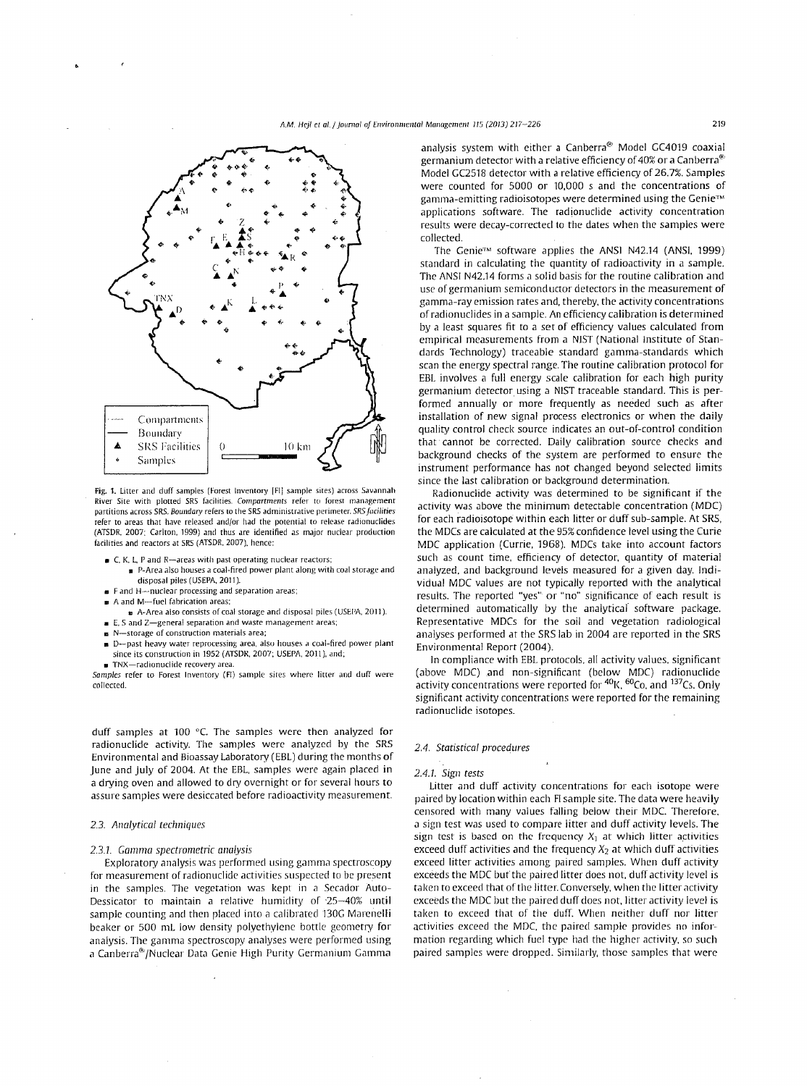## A.M. Hej/ et al./ }oumal af Environmental Management 115 (2013) 217-226 219



Fig. 1. Litter and duff samples (Forest Inventory [FI] sample sites) across Savannah **River Site with plotted SRS facilities.** *Compartments* **refer to forest management partitions across SRS.** *Boundary* **refers to the SRS administrative perimeter.** *SRS facilities*  refer to areas that have released and/or had the potential to release radionuctides (ATSDR. 2007: Carlton. 1999) and thus are identified as major nuclear production facilities and reactors at SRS (ATSDR. 2007). hence:

- **C. K. L. P and R-areas with past operating nuclear reactors;** 
	- P-Area also houses a coal-fired power plant along with coal storage and disposal piles (USEPA, 2011).
- **F and H-nuclear processing and separation areas;**
- **A and M-fuel fabrication areas:**
- **a** A-Area also consists of coal storage anrl disposal piles (USEPA. 2011 ).
- **E, Sand Z-general separation and waste management areas;**
- **a N-storage of construction materials area;**
- **D-past heavy water reprocessing area. also houses a coal-fired power plant**  since its construction in 1952 (ATSDR. 2007: USEPA. 2011 ). and: **• TNX-radionuclide recovery area.**

*Samples* **refer to Forest Inventory (FI) sample sites where litter and duff were**  collected.

duff samples at 100  $^{\circ}$ C. The samples were then analyzed for radionuclide activity. The samples were analyzed by the SRS Environmental and Bioassay Laboratory (EBL) during the months of june and july of 2004. At the EBL, samples were again placed in a drying oven and allowed to dry overnight or for several hours to assure samples were desiccated before radioactivity measurement.

# 2.3. Analytical techniques

# *2.3.1. Gamma spectrometric analysis*

Exploratory analysis was performed using gamma spectroscopy for measurement of radionuclide activities suspected to be present in the samples. The vegetation was kept in a Secador Auto-Dessicator to maintain a relative humidity of ·25-40% until sample counting and then placed into a calibrated 130G Marenelli beaker or 500 mL low density polyethylene bottle geometry for analysis. The gamma spectroscopy analyses were performed using a Canberra®/Nuclear Data Genie High Purity Germanium Gamma

analysis system with either a Canberra<sup> $\textcircled{\tiny{\textregistered}}$  Model GC4019 coaxial</sup> germanium detector with a relative efficiency of 40% or a Canberra<sup> $6$ </sup> Model GC2518 detector with a relative efficiency of 26.7%. Samples were counted for 5000 or 10,000 s and the concentrations of gamma-emitting radioisotopes were determined using the Genie"~" applications software. The radionuclide activity concentration results were decay-corrected to the dates when the samples were collected.

The Genie<sup>™</sup> software applies the ANSI N42.14 (ANSI, 1999) standard in calculating the quantity of radioactivity in a sample. The ANSI N42.14 forms a solid basis for the routine calibration and use of germanium semiconductor detectors in the measurement of gamma-ray emission rates and, thereby, the activity concentrations of radionuclides in a sample. An efficiency calibration is determined by a least squares fit to a set of efficiency values calculated from empirical measurements from a NIST (National Institute of Standards Technology) traceable standard gamma-standards which scan the energy spectral range. The routine calibration protocol for EBL involves a full energy scale calibration for each high purity germanium detector using a NIST traceable standard. This is performed annually or more frequently as needed such as after installation of new signal process electronics or when the daily quality control check source indicates an out-of-control condition that cannot be corrected. Daily calibration source checks and background checks of the system are performed to ensure the instrument performance has not changed beyond selected limits since the last calibration or background determination.

Radionuclide activity was determined to be significant if the activity was above the minimum detectable concentration (MDC) for each radioisotope within each litter or duff sub-sample. At SRS, the MDCs are calculated at the 95% confidence level using the Curie MDC application (Currie, 1968). MDCs take into account factors such as count time, efficiency of detector, quantity of material analyzed, and background levels measured for a given day. Individual MDC values are not typically reported with the analytical results. The reported "yes" or "no'" significance of each result is determined automatically by the analytical software package. Representative MDCs for the soil and vegetation radiological analyses performed at the SRS lab in 2004 are reported in the SRS Environmental Report (2004).

In compliance with EBL protocols. all activity values, significant (above MDC) and non-significant (below MDC) radionuclide activity concentrations were reported for  $^{40}$ K,  $^{60}$ Co, and  $^{137}$ Cs. Only significant activity concentrations were reported for the remaining radionuclide isotopes.

# *2.4. Statistical procedures*

# *2.4.1. Sign tests*

Litter and duff activity concentrations for each isotope were paired by location within each Fl sample site. The data were heavily censored with many values falling below their MDC. Therefore, a sign test was used to compare litter and duff activity levels. The sign test is based on the frequency  $X_1$  at which litter activities exceed duff activities and the frequency  $X_2$  at which duff activities exceed litter activities among paired samples. When duff activity exceeds the MDC but the paired litter does not, duff activity level is taken to exceed that of the litter. Conversely, when the litter activity exceeds the MDC but the paired duff does not, litter activity level is taken to exceed that of the duff. When neither duff nor litter activities exceed the MDC, the paired sample provides no information regarding which fuel type had the higher activity, so such paired samples were dropped. Similarly, those samples that were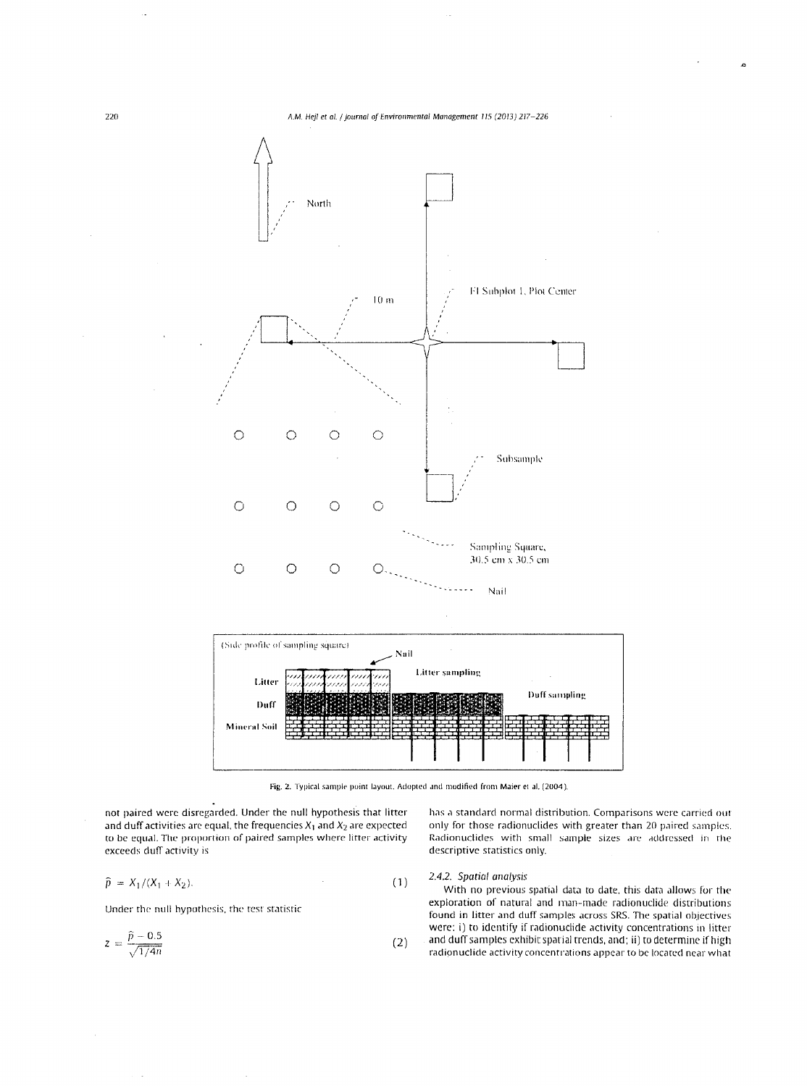

Fig. 2. Typical sample point layout. Adopted and modified from Maier et al. (2004).

not paired were disregarded. Under the null hypothesis that litter and duff activities are equal, the frequencies  $X_1$  and  $X_2$  are expected to be equal. The proportion of paired samples where litter activity exceeds duff activity is

$$
\widehat{p} = X_1/(X_1 + X_2). \tag{1}
$$

Under the null hypothesis, rhe test statistic

$$
z = \frac{\hat{p} - 0.5}{\sqrt{1/4n}}\tag{2}
$$

has a standard normal distribution. Comparisons were carried out only for those radionuclides with greater than 20 paired samples. Radionuclides with small sample sizes are addressed in the descriptive statistics only.

# 2.4.2. Spatial analysis

With no previous spatial data to date, this data allows for the exploration of natural and man-made radionuclide distributions found in litter and duff samples across SRS. The spatial objectives were: i) to identify if radionuclide activity concentrations in litter and duff samples exhibit spatial trends, and; ii) to determine if high radionuclide activity concentrations appear to be located near what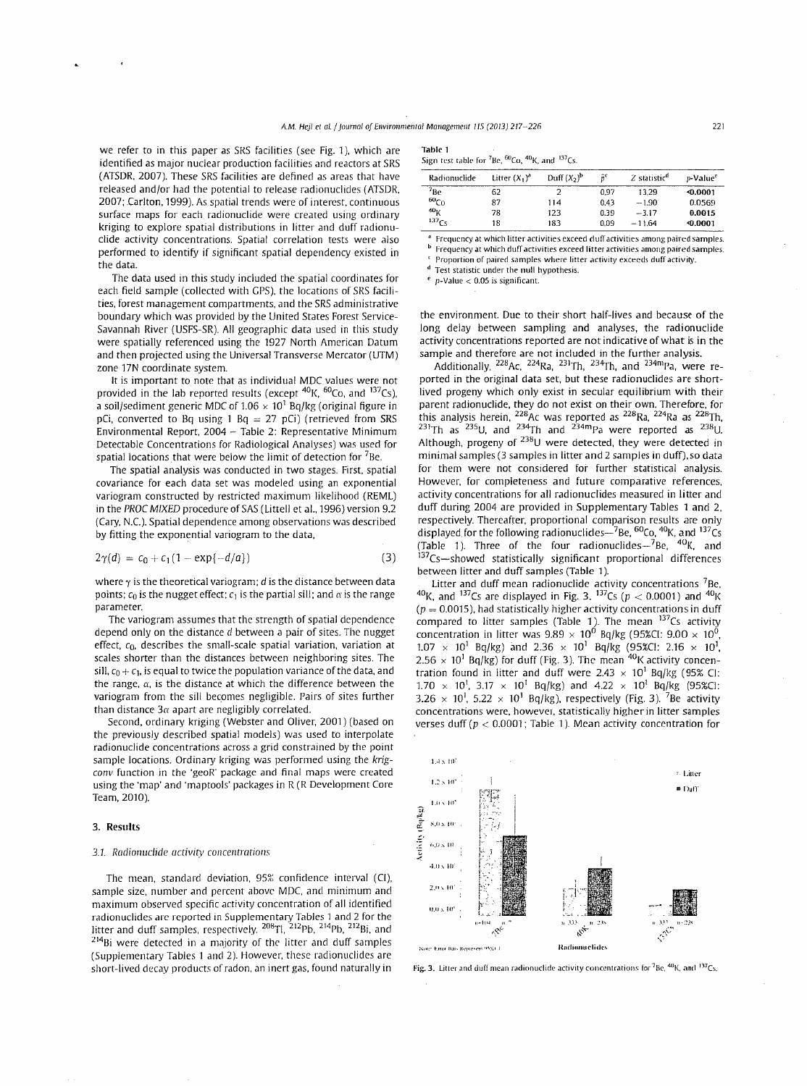$\mathbf T$ 

we refer to in this paper as SRS facilities (see Fig. 1), which are identified as major nuclear production facilities and reactors at SRS (ATSDR, 2007). These SRS facilities are defined as areas that have released and/or had the potential to release radionuclides (ATSDR, 2007; Carlton, 1999). As spatial trends were of interest, continuous surface maps for each radionuclide were created using ordinary kriging to explore spatial distributions in litter and duff radionuclide activity concentrations. Spatial correlation tests were also performed to identity if significant spatial dependency existed in the data.

The data used in this study included the spatial coordinates for each field sample (collected with GPS), the locations of SRS facilities, forest management compartments, and the SRS administrative boundary which was provided by the United States Forest Service-Savannah River (USFS-SR). All geographic data used in this study were spatially referenced using the 1927 North American Datum and then projected using the Universal Transverse Mercator (UTM) zone 17N coordinate system.

It is important to note that as individual MDC values were not provided in the lab reported results (except  ${}^{40}$ K,  ${}^{60}$ Co, and  ${}^{137}$ Cs), a soil/sediment generic MDC of 1.06  $\times$  10<sup>1</sup> Bq/kg (original figure in pCi, converted to Bq using 1 Bq = 27 pCi) (retrieved from SRS Environmental Report, 2004- Table 2: Representative Minimum Detectable Concentrations for Radiological Analyses) was used for spatial locations that were below the limit of detection for  ${}^{7}$ Be.

The spatial analysis was conducted in two stages. First, spatial covariance for each data set was modeled using an exponential variogram constructed by restricted maximum likelihood (REML) in the *PROC MIXED* procedure of SAS (Littell et al., 1996) version 9.2 (Cary, N.C.). Spatial dependence among observations was described by fitting the exponential variogram to the data,

$$
2\gamma(d) = c_0 + c_1(1 - \exp\{-d/a\})
$$
 (3)

where  $\gamma$  is the theoretical variogram;  $d$  is the distance between data points;  $c_0$  is the nugget effect;  $c_1$  is the partial sill; and  $\alpha$  is the range parameter.

The variogram assumes that the strength of spatial dependence depend only on the distance *d* between a pair of sites. The nugget effect,  $c_0$ , describes the small-scale spatial variation, variation at scales shorter than the distances between neighboring sites. The sill,  $c_0 + c_1$ , is equal to twice the population variance of the data, and the range,  $\alpha$ , is the distance at which the difference between the variogram from the sill becomes negligible. Pairs of sites further than distance *3a* apart are negligibly correlated.

Second, ordinary kriging (Webster and Oliver, 2001) (based on the previously described spatial models) was used to interpolate radionuclide concentrations across a grid constrained by the point sample locations. Ordinary kriging was performed using the *krigconv* function in the 'geoR' package and final maps were created using the 'map' and 'maptools' packages in R (R Development Core Team, 2010).

# 3. **Results**

#### *3.1. Radionuclide activity concentrations*

The mean, standard deviation, 95% confidence interval (CI), sample size, number and percent above MDC, and minimum and maximum observed specific activity concentration of all identified radionuclides are reported in Supplementary Tables 1 and 2 for the<br>litter and duff samples, respectively. <sup>208</sup>Tl, <sup>212</sup>Pb, <sup>214</sup>Pb, <sup>212</sup>Bi, and  $^{214}$ Bi were detected in a majority of the litter and duff samples (Supplementary Tables 1 and 2). However, these radionuclides are short-lived decay products of radon, an inert gas, found naturally in

| able 1 |  |
|--------|--|
|        |  |

| Sign test table for <sup>7</sup> Be, <sup>60</sup> Co, <sup>40</sup> K, and <sup>137</sup> Cs. |  |
|------------------------------------------------------------------------------------------------|--|
|------------------------------------------------------------------------------------------------|--|

| Radionuclide      | Litter $(X, )^d$ | Duff $(X_2)^b$ | $\hat{\mathbf{n}}^{\mathbf{c}}$ | Z statistic <sup>a</sup> | p-Value <sup>e</sup> |
|-------------------|------------------|----------------|---------------------------------|--------------------------|----------------------|
| $7_{\text{Be}}$   | 62               |                | 0.97                            | 13.29                    | <0.0001              |
| $^{60}Co$         | 87               | 114            | 0.43                            | $-1.90$                  | 0.0569               |
| 40 <sub>K</sub>   | 78               | 123            | 0.39                            | $-3.17$                  | 0.0015               |
| 137 <sub>Cs</sub> | 18               | 183            | 0.09                            | $-11.64$                 | <0.0001              |

**o1 Frequency at which litter activities exceed duff activities among paired samples.** 

**b** Frequency at which duff activities exceed litter activities among paired samples. **l Proportion of paired samples where litter activity exceeds duff activity.** 

Test statistic under the null hypothesis.

*e* **p-Value < 0.05 is significant.** 

the environment. Due to their short half-lives and because of the long delay between sampling and analyses, the radionuclide activity concentrations reported are not indicative of what is in the sample and therefore are not included in the further analysis.

Additionally,  $^{228}$ Ac,  $^{224}$ Ra,  $^{231}$ Th,  $^{234}$ Th, and  $^{234}$ mPa, were reported in the original data set, but these radionuclides are shortlived progeny which only exist in secular equilibrium with their parent radionuclide, they do not exist on their own. Therefore, for this analysis herein,  $^{228}$ Ac was reported as  $^{228}$ Ra,  $^{224}$ Ra as  $^{228}$ Th,  $231$ Th as  $235$ U, and  $234$ Th and  $234$ <sup>m</sup>Pa were reported as  $238$ U. Although, progeny of 238U were detected, they were detected in minimal samples (3 samples in litter and 2 samples in duff), so data for them were not considered for further statistical analysis. However, for completeness and future comparative references, activity concentrations for all radionuclides measured in litter and duff during 2004 are provided in Supplementary Tables 1 and 2, respectively. Thereafter, proportional comparison results are only displayed for the following radionuclides $-$ 7Be,  ${}^{60}$ Co,  ${}^{40}$ K, and  ${}^{137}Cs$ (Table 1). Three of the four radionuclides $-$ <sup>7</sup>Be, <sup>40</sup>K, and  $137$ Cs--showed statistically significant proportional differences between litter and duff samples (Table 1).<br>Litter and duff mean radionuclide activity concentrations <sup>7</sup>Be.

 $^{40}$ K, and  $^{137}$ Cs are displayed in Fig. 3.  $^{137}$ Cs (p < 0.0001) and  $^{40}$ K  $(p = 0.0015)$ , had statistically higher activity concentrations in duff compared to litter samples (Table 1). The mean  $137Cs$  activity concentration in litter was  $9.89 \times 10^{0}$  Bq/kg (95%CI:  $9.00 \times 10^{0}$ ,  $1.07 \times 10^1$  Bq/kg) and  $2.36 \times 10^1$  Bq/kg (95%CI: 2.16  $\times$  10<sup>1</sup>,  $2.56 \times 10^{1}$  Bq/kg) for duff (Fig. 3). The mean  $40$ K activity concentration found in litter and duff were  $2.43 \times 10^1$  Bq/kg (95% Cl:  $1.70 \times 10^{1}$ ,  $3.17 \times 10^{1}$  Bq/kg) and  $4.22 \times 10^{1}$  Bq/kg (95%CI:  $3.26 \times 10^{1}$ ,  $5.22 \times 10^{1}$  Bq/kg), respectively (Fig. 3). <sup>7</sup>Be activity concentrations were, however, statistically higher in litter samples verses duff ( $p < 0.0001$ ; Table 1). Mean activity concentration for



Fig. 3. Litter and duff mean radionuclide activity concentrations for <sup>7</sup>Be, <sup>40</sup>K, and <sup>137</sup>Cs.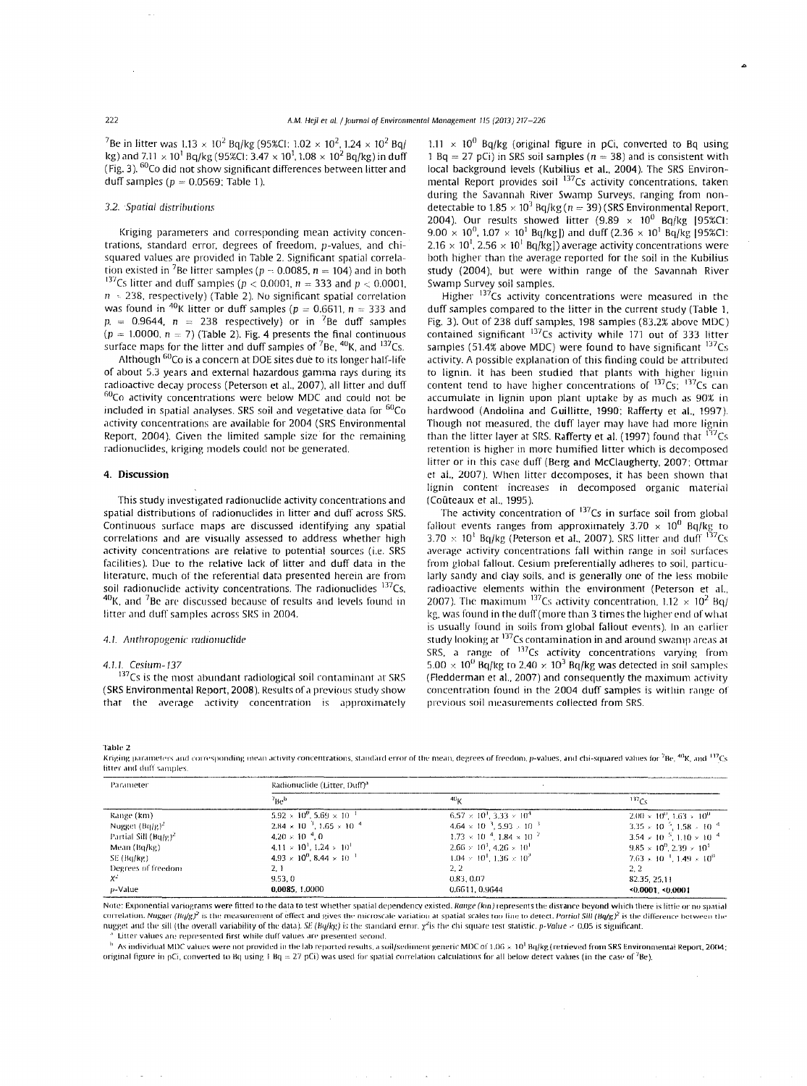<sup>7</sup>Be in litter was  $1.13 \times 10^2$  Bq/kg (95%CI:  $1.02 \times 10^2$ ,  $1.24 \times 10^2$  Bq/ kg) and  $7.11\times10^{1}$  Bq/kg (95%CI: 3.47  $\times$  10 $^{1}$ , 1.08  $\times$  10 $^{2}$  Bq/kg) in duff (Fig. 3). <sup>60</sup>Co did not show significant differences between litter and duff samples ( $p = 0.0569$ ; Table 1).

# 3.2. Spatial distributions

Kriging parameters and corresponding mean activiry concentrations, standard error, degrees of freedom, p-values, and chisquared values are provided in Table 2. Significant spatial correlation existed in <sup>7</sup>Be litter samples ( $p = 0.0085$ ,  $n = 104$ ) and in both <sup>137</sup>Cs litter and duff samples ( $p < 0.0001$ ,  $n = 333$  and  $p < 0.0001$ ,  $n = 238$ , respectively) (Table 2). No significant spatial correlation was found in <sup>40</sup>K litter or duff samples ( $p = 0.6611$ ,  $n = 333$  and  $p = 0.9644$ ,  $n = 238$  respectively) or in <sup>7</sup>Be duff samples  $(p = 1.0000, n = 7)$  (Table 2). Fig. 4 presents the final continuous surface maps for the litter and duff samples of  ${}^{7}$ Be,  ${}^{40}$ K, and  ${}^{137}$ Cs.

Although <sup>60</sup>Co is a concern at DOE sites due to its longer half-life of about 5.3 years and external hazardous gamma rays during its radioactive decay process (Peterson et al., 2007), all litter and duff radioactive decay process (Peterson et al., 2007), all litter and duff<br><sup>60</sup>Co-activity concentrations were below MDC and could not be included in spatial analyses. SRS soil and vegetative data for  ${}^{60}Co$ activiry concentrations are available for 2004 (SRS Environmental Report, 2004). Given the limited sample size for the remaining radionuclides, kriging models could not be generated.

# **4. Discussion**

This study investigated radionuclide activity concentrations and spatial distributions of radionuclides in litter and duff across SRS. Continuous surface maps arc discussed identifying any spatial correlations and are visually assessed to address whether high acriviry concentrations are relative to potential sources (i.e. SRS facilities). Due to the relative lack of litter and duff data in the literature, much of the referential data presented herein are from soil radionuclide activity concentrations. The radionuclides  $137Cs$ ,  $40$ K. and  $7$ Be are discussed because of results and levels found in litter and duff samples across SRS in 2004.

# 4.1. Anthropogenic radionuclide

## 4.1.1. Cesium-137

 $137<sub>CS</sub>$  is the most abundant radiological soil contaminant at SRS (SRS Environmental Report, 2008). Results of a previous study show that the average activity concentration is approximately

1.11  $\times$  10<sup>0</sup> Bq/kg (original figure in pCi, converted to Bq using 1 Bq = 27 pCi) in SRS soil samples ( $n = 38$ ) and is consistent with local background levels (Kubilius et al., 2004). The SRS Environmental Report provides soil <sup>137</sup>Cs activity concentrations, taken during the Savannah River Swamp Surveys, ranging from nondetectable to  $1.85 \times 10^3$  Bq/kg(n = 39) (SRS Environmental Report, 2004). Our results showed litter  $(9.89 \times 10^{0}$  Bq/kg [95%CI:  $9.00 \times 10^{0}$ ,  $1.07 \times 10^{1}$  Bq/kg]) and duff (2.36  $\times 10^{1}$  Bq/kg [95%CI:  $2.16 \times 10^1$ ,  $2.56 \times 10^1$  Bq/kg]) average activity concentrations were both higher than the average reported for the soil in the Kubilius study (2004), but were within range of the Savannah River Swamp Survey soil samples.

Higher <sup>137</sup>Cs activity concentrations were measured in the duff samples compared to the litter in the current study (Table 1, Fig. 3). Out of 238 duff samples, 198 samples (83.2% above MDC) contained significant  $137$ Cs activity while 171 out of 333 litter samples (51.4% above MDC) were found to have significant  $^{137}Cs$ activity. A possible explanation of this finding could be attributed to lignin. It has been studied that plants with higher lignin content tend to have higher concentrations of  $^{137}Cs$ ;  $^{137}Cs$  can accumulate in lignin upon plant uptake by as much as 90% in hardwood (Andolina and Guillitte, 1990; Rafferty et al., 1997). Though not measured, the duff layer may have had more lignin than the litter layer at SRS. Rafferty et al. (1997) found that <sup>137</sup>Cs retention is higher in more humified litter which is decomposed litter or in this case duff (Berg and McClaugherty, 2007; Ottmar et al., 2007 ). When litter decomposes, it has been shown that lignin content increases in decomposed organic material (Coûteaux et al., 1995).

The activity concentration of <sup>137</sup>Cs in surface soil from global fallout events ranges from approximately  $3.70 \times 10^{0}$  Bq/kg to  $3.70 \times 10^1$  Bq/kg (Peterson et al., 2007). SRS litter and duff  $^{137}Cs$ average activiry concentrations fall within range in soil surfaces from global fallout. Cesium preferentially adheres to soil. particularly sandy and clay soils, and is generally one of the less mobile radioactive clements within the environment (Pererson et al., 2007). The maximum  $^{137}$ Cs activity concentration, 1.12  $\times$  10<sup>2</sup> Bq/ kg, was found in the duff (more than 3 times the higher end of what is usually found in soils from global fallout events). In an earlier study looking at  $137$ Cs contamination in and around swamp areas at SRS, a range of  $^{137}$ Cs activity concentrations varying from  $5.00 \times 10^{0}$  Bq/kg to 2.40  $\times$  10<sup>3</sup> Bq/kg was detected in soil samples ( Fledderman et al., 2007) and consequently the maximum activity concentration found in the 2004 duff samples is within range of previous soil measurements collected from SRS

Table 2

Kriging parameters and corresponding mean activity concentrations, standard error of the mean, degrees of freedom, p-values, and chi-squared values for <sup>7</sup>Be, <sup>40</sup>K, and <sup>137</sup>Cs **litter** and duff samples

| Parameter                        | Radionuclide (Litter, Duff) <sup>a</sup>      |                                                        |                                                        |  |  |
|----------------------------------|-----------------------------------------------|--------------------------------------------------------|--------------------------------------------------------|--|--|
|                                  | $v_{\rm Be}$                                  | 40 <sub>K</sub>                                        | 137 <sub>Cs</sub>                                      |  |  |
| Kange (km)                       | $5.92 \times 10^{6}$ , $5.69 \times 10^{-1}$  | $6.57 \times 10^{1}$ , 3.33 $\times 10^{4}$            | $2.00 \times 10^{0}$ , $1.63 \times 10^{0}$ .          |  |  |
| Nugget $(Bq/g)^2$                | $2.84 \times 10^{-3}$ , $1.65 \times 10^{-4}$ | $4.64 \times 10^{-3}$ , 5.93 $\times$ 10 <sup>-3</sup> | $3.35 \times 10^{-5}$ , $1.58 \times 10^{-4}$          |  |  |
| Partial Sill (Bg/g) <sup>2</sup> | $4.20 \times 10^{-4}$ . 0                     | $1.73 \times 10^{-4}$ , $1.84 \times 10^{-2}$          | $3.54 \times 10^{-5}$ , 1.10 $\times$ 10 <sup>-4</sup> |  |  |
| Mean (Bo/kg)                     | $4.11 \times 10^{1}$ , $1.24 \times 10^{1}$   | $2.66 \times 10^3$ , $4.26 \times 10^1$                | $9.85 \times 10^{0}$ , 2.39 $\times 10^{1}$            |  |  |
| SE (Ba/kg)                       | $4.93 \times 10^{0}$ , 8.44 $\times 10^{-1}$  | $1.04 \times 10^{1}$ , $1.36 \times 10^{2}$            | $7.63 \times 10^{-1}$ , 1.49 $\times 10^{0}$           |  |  |
| Degrees of freedom               | 2.1                                           | 2.2                                                    | 2.2                                                    |  |  |
| Х.                               | 9.53.0                                        | 0.83.0.07                                              | 82.35.25.11                                            |  |  |
| p-Value                          | 0.0085, 1.0000                                | 0.6611.0.9644                                          | <0.0001. <0.0001                                       |  |  |

Note: Exponential variograms were fitted to the data to test whether spatial dependency existed. Range (km) represents the disrance beyond which there is little or no spatial correlation. Nugget (Ba/g)<sup>2</sup> is the measurement of effect and gives the microscale variation at spatial scales too fine to detect. Partial Sill (Ba/g)<sup>2</sup> is the difference between the nugget and the sill (the overall variability of the data). SE (Bq/kg) is the standard error.  $\chi^2$  is the chi square test statistic. p-Value < 0.05 is significant Litter values are represented first while duff values are presented second.

<sup>b</sup> As individual MDC values were not provided in the lab reported results, a soil/sediment generic MDC of 1.06 × 10<sup>1</sup> Bq/kg (retrieved from SRS Environmental Report, 2004; original figure in pCi, converted to Bq using 1 Bq = 27 pCi) was used for spatial correlation calculations for all below detect values (in the case of <sup>7</sup>Be).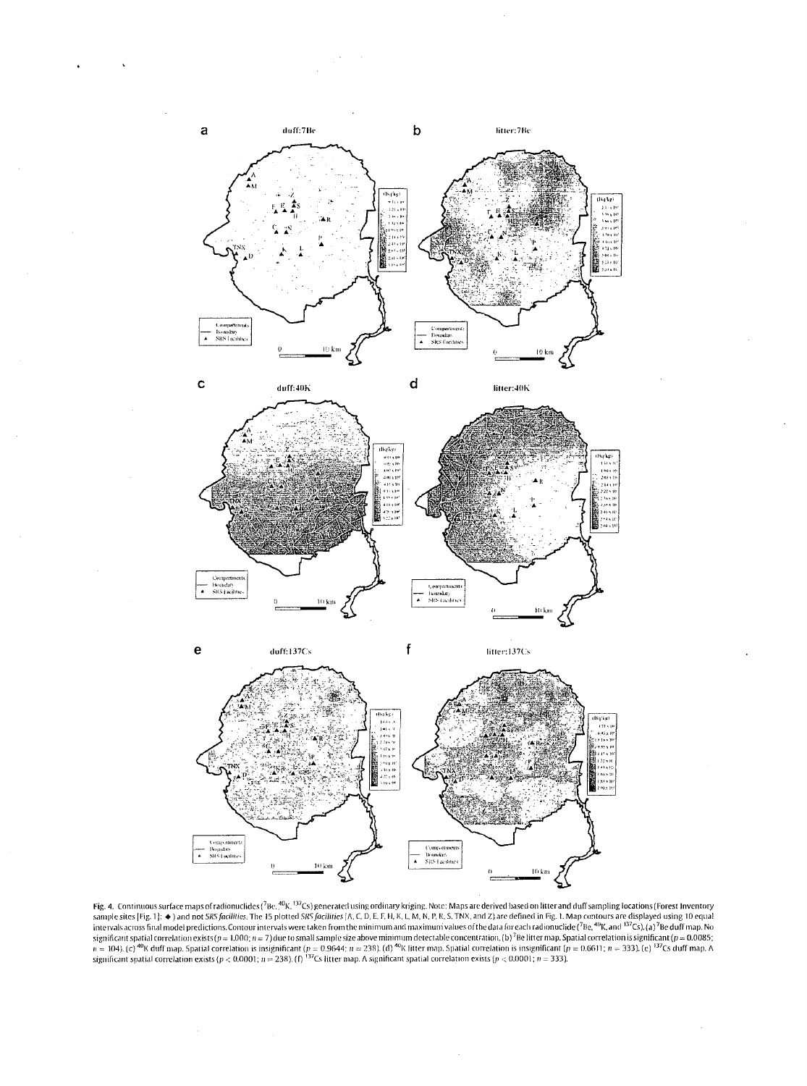







**e duff:**137Cs **f iiiier:137Cs** 



**Fig. 4.** Continuous surface maps of radionuclides (<sup>7</sup>Be, <sup>40</sup>K, <sup>137</sup>Cs) generated using ordinary kriging. Note: Maps are derived based on litter and duff sampling locations (Forest Inventory sample sites [Fig. 1]:  $\bullet$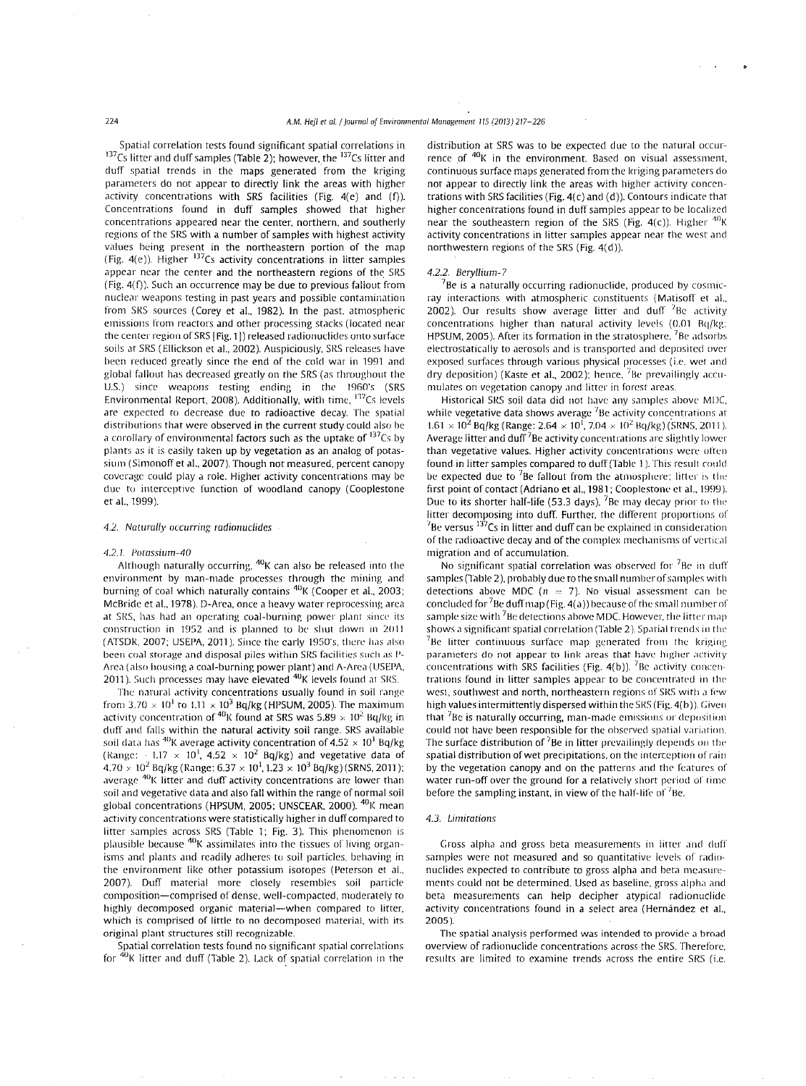Spatial correlation tests found significant spatial correlations in  $137$ Cs litter and duff samples (Table 2); however, the  $137$ Cs litter and duff spatial trends in the maps generated from the kriging parameters do not appear to directly link the areas with higher activity concentrations with SRS facilities (Fig.  $4(e)$  and (f)). Concenrrations found in duff samples showed that higher concentrations appeared near the center, northern, and southerly regions of the SRS with a number of samples with highest activity values being present in the northeastern portion of the map (Fig. 4(e)). Higher <sup>137</sup>Cs activity concentrations in litter samples appear near the center and the northeastern regions of the SRS (Fig. 4(f)). Such an occurrence may be due to previous fallout from nuclear weapons testing in past years and possible contamination from SRS sources (Corey et al., 1982). In the past, atmospheric emissions from reactors and other processing stacks (located near the center region of SRS [Fig. 1]) released radionuclides onto surface soils at SRS ( Ellickson et al., 2002). Auspiciously, SRS releases have been reduced greatly since the end of the cold war in 1991 and global fallout has decreased greatly on the SRS (as throughout the U.S.) since weapons testing ending in the 1960's (SRS Environmental Report, 2008). Additionally, with time,  $^{137}Cs$  levels are expected to decrease due to radioactive decay. The spatial distributions that were observed in the current study could also be a corollary of environmental fa<mark>ctors such as the uptak</mark>e of <sup>137</sup>Cs by plants as it is easily taken up by vegetation as an analog of potassium ( Simonoff et al., 2007). Though nor measured, percent canopy coverage could play a role. Higher activity concentrations may be due to interceptive function of woodland canopy (Cooplestone et al., 1999).

#### 4.2. Naturally occurring radionuclides

#### 4.2.1. Potassium-40

Although naturally occurring,  $^{40}$ K can also be released into the environment by man-made processes through the mining and burning of coal which naturally contains <sup>40</sup> K (Cooper et al., 2003; McBride et al., 1978). D-Area, once a heavy water reprocessing area at SRS, has had an operating coal-burning power plant since its construction in 1952 and is planned to be shut down in 2011 (ATSDR, 2007; USEPA, 2011). Since the early 1950's, there has also been coal storage and disposal piles within SRS facilities such as P-Area (also housing a coal-burning power plant) and A-Area (USEPA, 2011). Such processes may have elevated <sup>40</sup>K levels found at SRS.

The narural activity concentrations usually found in soil range from  $3.70 \times 10^1$  to  $1.11 \times 10^3$  Bq/kg (HPSUM, 2005). The maximum activity concentration of <sup>40</sup>K found at SRS was  $5.89 \times 10^2$  Bq/kg in duff and falls within the natural activity soil range. SRS available soil data has <sup>40</sup>K average activity concentration of  $4.52 \times 10^1$  Bq/kg (Range:  $-1.17 \times 10^{1}$ , 4.52  $\times$  10<sup>2</sup> Bq/kg) and vegetative data of  $4.70\times10^{2}$  Bq/kg (Range:  $6.37\times10^{1}$ ,  $1.23\times10^{3}$  Bq/kg) (SRNS, 2011); average <sup>40</sup>K litter and duff activity concentrations are lower than soil and vegetative data and also fall within the range of normal soil global concentrations (HPSUM, 2005; UNSCEAR, 2000). <sup>40</sup>K mean activity concentrations were statistically higher in duff compared to litter samples across SRS (Table 1; Fig. 3). This phenomenon is plausible because <sup>40</sup>K assimilates into the tissues of living organisms and plants and readily adheres to soil particles, behaving in the environment like other potassium isotopes (Peterson et al., 2007). Duff material more closely resembles soil particle composition-comprised of dense. well-compacted, moderately to highly decomposed organic material-when compared to litter. which is comprised of little to no decomposed material. with irs original plant structures still recognizable.

Spatial correlation tests found no significant spatial correlations for  $40K$  litter and duff (Table 2). Lack of spatial correlation in the distribution at SRS was to be expected due to the natural occurrence of  $40K$  in the environment. Based on visual assessment, continuous surface maps generated from the kriging parameters do not appear to directly link the areas with higher activity concentrations with SRS facilities (Fig. 4(c) and (d)). Contours indicate that higher concentrations found in duff samples appear to be localized near the southeastern region of the SRS (Fig. 4(c)). Higher  $^{40}$ K activity concentrations in litter samples appear near the west and northwestern regions of the SRS (Fig. 4(d)).

# 4.2.2. Beryllium-7

 $7$ Be is a naturally occurring radionuclide, produced by cosmicray interactions with atmospheric constituents (Matisoff et al., 2002). Our results show average litter and duff  $78e$  activity concentrations higher than natural activity levels  $(0.01 \text{ Bq/kg})$ ; HPSUM, 2005). After its formation in the stratosphere,  $7Be$  adsorbs electrostatically to aerosols and is transported and deposited over exposed surfaces through various physical processes (i.e. wet and dry deposition) (Kaste *et* al., 2002); hence, 7Be prevailingly accumulates on vegetation canopy and litter in forest areas.

Historical SRS soil data did not have any samples above MDC. while vegetative data shows average  $^7$ Be activity concentrations at  $1.61 \times 10^2$  Bq/kg (Range:  $2.64 \times 10^1$ ,  $7.04 \times 10^2$  Bq/kg) (SRNS, 2011). Average litter and duff  $7B$ e activity concentrations are slightly lower than vegetative values. Higher activity concentrations were often found-in litter samples compared to duff (Table 1). This result could be expected due to  ${}^{7}$ Be fallout from the atmosphere; litter is the first point of contact (Adriano et al., 1981; Cooplestone et al., 1999). Due to its shorter half-life (53.3 days),  $78e$  may decay prior to the litter decomposing into duff. Further, the different proportions of  $^{7}$ Be versus  $^{137}$ Cs in litter and duff can be explained in consideration of the radioactive decay and of the complex mechanisms of vertical migration and of accumulation.

No significant spatial correlation was observed for  $7Be$  in duff samples (Table 2), probably due to the small number of samples with detections above MDC ( $n = 7$ ). No visual assessment can be concluded for  ${}^{7}$ Be duff map (Fig. 4(a)) because of the small number of sample size with  ${}^{7}$ Be detections above MDC. However, the litter map shows a significant spatial correlation (Table 2). Spatial trends in the  $R^2$ Be litter continuous surface map generated from the kriging parameters do not appear to link areas that have higher activity concentrations with SRS facilities (Fig.  $4(b)$ ). <sup>7</sup>Be activity concentrations found in litter samples appear to be concentrated in the west, southwest and north, northeastern regions of SRS with a few high values intermittently dispersed within the SRS (Fig. 4(b)). Given that  ${}^{7}$ Be is naturally occurring, man-made emissions or deposition could not have been responsible for the observed spatial variation. The surface distribution of  $<sup>7</sup>$ Be in litter prevailingly depends on the</sup> spatial distribution of wet precipitations, on the interception of rain by the vegetation canopy and on the patterns and the features of water run-off over the ground for a relatively short period of time before the sampling instant, in view of the half-life of  ${}^{7}$ Be.

#### *4.3.* Limirations

Gross alpha and gross beta measurements in litter and duff samples were not measured and so quantitative levels of radio· nuclides expected to contribute to gross alpha and hera measurements could not be determined. Used as baseline, gross alpha and beta measurements can help decipher atypical radionuclide activity concentrations found in a select area (Hernández et al., 2005).

The spatial analysis performed was intended to provide a broad overview of radionuclide concentrations across the SRS. Therefore. results are limited to examine trends across the entire SRS (i.e.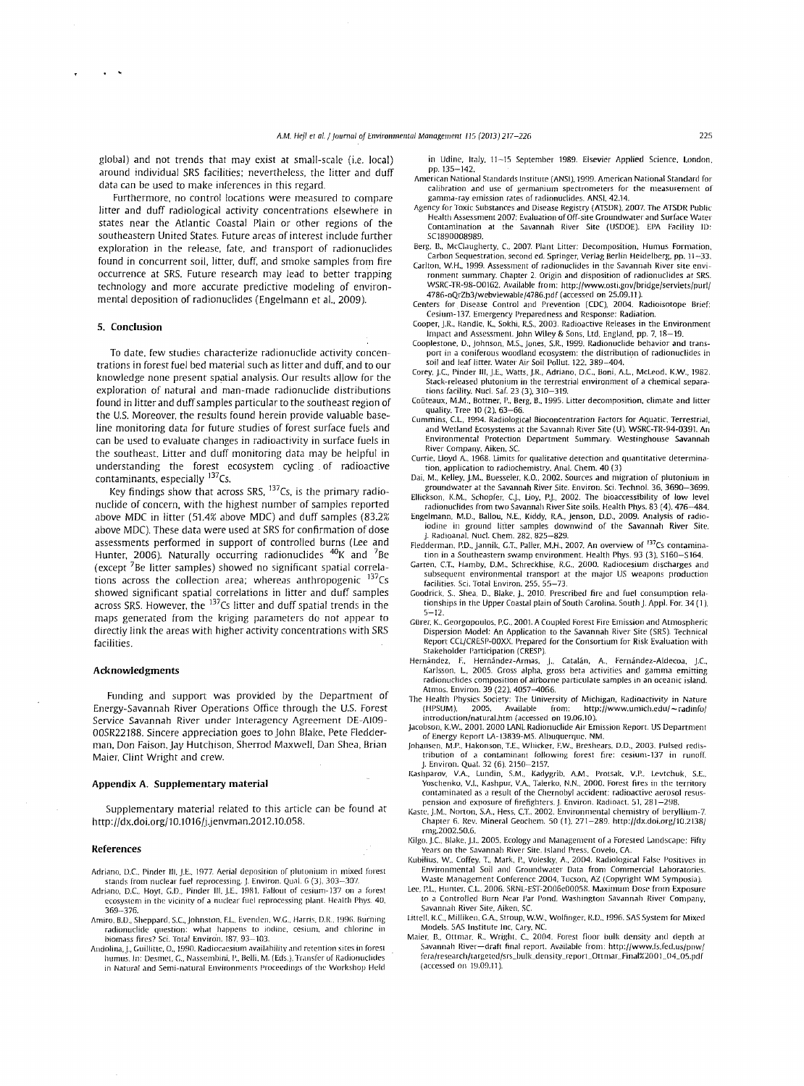global) and not trends that may exist at small-scale (i.e. local) around individual SRS facilities: nevertheless, the litter and duff data can be used to make inferences in this regard.

Furthermore, no control locations were measured to compare litter and duff radiological activity concentrations elsewhere in states near the Atlantic Coastal Plain or other regions of the southeastern United States. Future areas of interest include further exploration in the release, fate. and transport of radionuclides found in concurrent soil, litter, duff, and smoke samples from fire occurrence at SRS. Future research may lead to better trapping technology and more accurate predictive modeling of environmental deposition of radionuclides (Engelmann et al., 2009).

# **5. Conclusion**

To date. few studies characterize radionuclide activity concentrations in forest fuel bed material such as Jitter and duff, and to our knowledge none present spatial analysis. Our results allow for the exploration of natural and man-made radionuclide distributions found in litter and duff samples particular to the southeast region of the U.S. Moreover. the results found herein provide valuable baseline monitoring data for future studies of forest surface fuels and can be used to evaluate changes in radioactivity in surface fuels in the southeast. Litter and duff monitoring data may be helpful in understanding the forest ecosystem cycling of radioactive contaminants, especially 137Cs.

Key findings show that across SRS, <sup>137</sup>Cs, is the primary radionuclide of concern, with the highest number of samples reported above MDC in litter (51.4% above MDC) and duff samples (83.2% above MDC). These data were used at SRS for confirmation of dose assessments performed in support of controlled burns (Lee and Hunter, 2006). Naturally occurring radionuclides  $^{40}$ K and  $^{7}$ Be (except <sup>7</sup>Be Jitter samples) showed no significant spatial correlations across the collection area; whereas anthropogenic  $137Cs$ showed significant spatial correlations in litter and duff samples across SRS. However, the  $137$ Cs litter and duff spatial trends in the maps generated from the kriging parameters do not appear to directly link the areas with higher activity concentrations with SRS facilities.

#### **Acknowledgments**

Funding and support was provided by the Department of Energy-Savannah River Operations Office through the U.S. Forest Service Savannah River under Interagency Agreement DE-AI09- 00SR22188. Sincere appreciation goes to john Blake. Pete Fledderman, Don Faison, jay Hutchison. Sherrod Maxwell. Dan Shea, Brian Maier. Clint Wright and crew.

#### **Appendix A. Supplementary material**

Supplementary material related to this article can be found at http://dx.doi.org/10.1016/j.jenvman.2012.10.058.

# **References**

- Adriano. D.C.. Pinder Ill. j.E.. 1977. Aerial deposition of plutonium in mixed forest stands from nuclear fuel reprocessing. J. Environ. Qual. 6 (3), 303–307.<br>Adriano, D.C., Hoyt, G.D., Pinder III, J.E., 1981. Fallout of cesium-137 on a forest
- **ecosystem in the vicinity of a nuclear fuel reprocessing plant. Health Phys. 40,** 369-376.
- Amiro. B.D., Sheppard, S.C., Johnston. F.L., Evenden. W.G., Harris. D.R., 1996. Burning **r.1dionuclide question: whill happens to iodine. cesium, and chlorine in**  biomass fires? Sci. Total Enviro'n. 187, 93-103.
- Andolina, J., Guillitte, O., 1990. Radiocaesium availability and retention sites in forest humus. In: Desmet, G., Nassembini, P., Belli, M. (Eds.). Transfer of Radionuclides in Natural and Semi-natural Environments Proceedings of the Workshop Held

in Udine. Italy, 11-15 September 1989. Elsevier Applied Science. london. pp. 135-142.

- American National Standards Institute (ANSI). 1999. American National Standard for **calibration and use of germanium spectrometers for the measurement of gamma-ray emission rates of radionuclides. ANSI, 42.14.**
- Agency for Toxic Substances and Disease Registry (ATSDR), 2007. The ATSDR Public<br>Health Assessment 2007: Evaluation of Off-site Groundwater and Surface Water Contamination at the Savannah River Site (USDOE). EPA Facility ID: SC1890008989.
- Berg, B., McClaugherty, C., 2007. Plant Litter: Decomposition, Humus Formation, Carbon Sequestration. seconded. Springer, Verlag Berlin Heidelberg, pp. 11-33.
- **Carlton, W.H., 1999. Assessment of radio nuclides in the Savannah River site envi-**ronment summary. Chapter 2. Origin and disposition of radionuclides at SRS. WSRc:rR-98-00162. Available from: http://www.osti.gov/bridge/servlets/purl/ 4786-oQrZb3fwebviewable/4786.pdf (accessed on 25.09.11 ).
- Centers for Disease Control and Prevention (CDC), 2004. Radioisotope Brief: Cesium-137. Emergency Preparedness and Response: Radiation.
- Cooper, J.R., Randle, K., Sokhi, R.S., 2003. Radioactive Releases in the Environment Impact and Assessment. john Wiley & Sons. ltd, England. pp. 7. 18-19. Cooplestone. D .. .Johnson. M.S .. jones, S.R., 1999. Radionuclide behavior and trans-
- port in a coniferous woodland ecosystem: the distribution of radionuclides in soil and leaf litter. Water Air Soil Pollut. 122. 389-404.
- Corey. j.C., Pinder Ill. j.E .. Watts, j.R., Adriano, D.C.. Boni. A.L, McLeod. K.W., 1982. **Stack-released plutonium in the terrestrial environment of a chemical separa**tions facility. Nucl. Saf. 23 (3), 310-319.
- Coûteaux, M.M., Bottner, P., Berg, B., 1995. Litter decomposition, climate and litter quality. Tree 10 (2). 63-66.
- Cummins. C.L, 1994. Radiological Bioconcentration Factors for Aquatic, Terrestrial. and Wetland Ecosystems at the Savannah River Site (U). WSRC-TR-94-0391. An **Environmental Protection Department Summary. Westinghouse Savannah**  River Company, Aiken. SC.
- **Currie, Lloyd A., 1968. Limits for qualitative detection and quantitative determina**tion. application to radiochemistry. Anal. Chem. 40 (3)
- Dai. M., Kelley, J.M., Buesseler. K.O., 2002. Sources and migration of plutonium in groundwater at the Savannah River Site. Environ. Sci. Techno/. 36, 3690-3699. Ellickson, K.M., Schopfer. C.j., Lioy, P.j., 2002. The bioaccessibility of low level
- radionuclides from two Savannah River Site soils. Health Phys. 83 ( 4). 476-484.
- Engelmann. M.D .. Ballou, N.E .. Kiddy, R.A., Jenson. D.O .. 2009. Analysis of radio-iodine in ground litter samples downwind of the Savannah River Site. . Radioanal. Nucl. Chem. 282, 825-829.
- Fledderman, P.D., jannik, G.T., Paller, M.H., 2007. An overview of <sup>137</sup>Cs contamination in a Southeastern swamp environment. Health Phys. 93 (3), S160-S164.
- Garten, C.T., Hamby, D.M., Schreckhise, R.G., 2000. Radiocesium discharges and **subsequent environmental transport at the major US weapons production**  facilities. Sci. Total Environ. 255, 55-73.
- Goodrick, S., Shea, D., Blake, J., 2010. Prescribed fire and fuel consumption relationships in the Upper Coastal plain of South Carolina. South j. Appl. For. 34 ( 1 ). 5-12.
- Gürer, K., Georgopoulos, P.G., 2001. A Coupled Forest Fire Emission and Atmospheric Dispersion Model: An Application to the Savannah River Site (SRS). Technical Report CCL/CRESP-OOXX. Prepared for the Consortium for Risk Evaluation with Stakeholder Participation (CRESP).
- Hernández, F., Hernández-Armas, J., Catalán, A., Fernández-Aldecoa, Karlsson. L, 2005. Gross alpha. gross beta activities and gamma emitting **radionuclides composition of airborne particulate samples in an oceanic island.**  Atrnos. Environ. 39 (22). 4057-4066.
- The Health Physics Society: The University of Michigan, Radioactivity in Nature (HPSUM), 2005. Available from: http://www.umich.edu/~radinfo/ (HPSUM). 2005. Available from: http://www.umich.edu/-radinfo/ **introduction/natural.htm (accessed on 19.06.10).**  jacobson, K.W .. 2001. 2000 LANL Radio nuclide Air Emission Report. US Department
- of Energy Report LA-13839-MS. Albuquerque. NM.
- Johansen, M.P., Hakonson, T.E., Whicker, F.W., Breshears, D.D., 2003. Pulsed redis-<br>tribution of a contaminant following forest fire: cesium-137 in runoff.
- J. Environ. Qual. 32 (6). 2150-2157. Kashparov, V.A., Lundin. S.M.. Kadygrib. A.M.. Protsak. V.P.. Levtchuk, S.E .. Yoschenko, V.I.. Kashpur. V.A .. Talerko, N.N .. 2000. Forest fires in the territory **contaminated as a result of the Chernobyl accident: radioactive aerosol resus**pension and exposure of firefighters. J. Environ. Radioact. **51**, 281-298.
- Kaste, J.M., Norton, S.A., Hess, C.T., 2002. Environmental chemistry of beryllium-7 Chapter 6. Rev. Mineral Geochem. 50 (1), 271-289. http://dx.doi.org/10.2138/ rmg.2002.50.6.
- Kilgo, J.C., Blake, J.I., 2005. Ecology and Management of a Forested Landscape: Fifty Years on the Savannah River Site. Island Press, Covelo, CA.
- Kubilius, W., Coffey. T., Mark, P., Volesky. A., 2004. Radiological False Positives in **Environmental Soil ami Groundwater Data from Commercial Laboratories.**
- Waste Management Conference 2004, Tucson, AZ (Copyright WM Symposia).<br>Lee, P.L., Hunter, C.L., 2006. SRNL-EST-2006e00058. Maximum Dose from Exposure **to a Controlled Hurn Ncar Par Pond. Washington Savannah River Company,**
- Savannah River Site, Aiken, SC. Littell. l<.C.. Milliken. G.A .. Stroup, W.W., Wolfinger. R.D .. 1996. SAS System for Mixed Models. SAS Institute Inc, Cary. NC.
- Maier. B., Ottmar. R., Wright, C., 2004. Forest floor bulk density and depth at Savannah River-draft final report. Available from: http://www.fs.fed.us/pnw/ fera/research/targeted/srs\_bulk\_density\_report\_Ottmar\_Final%2001\_04\_05.pdf (accessed on 19.09.11 ).